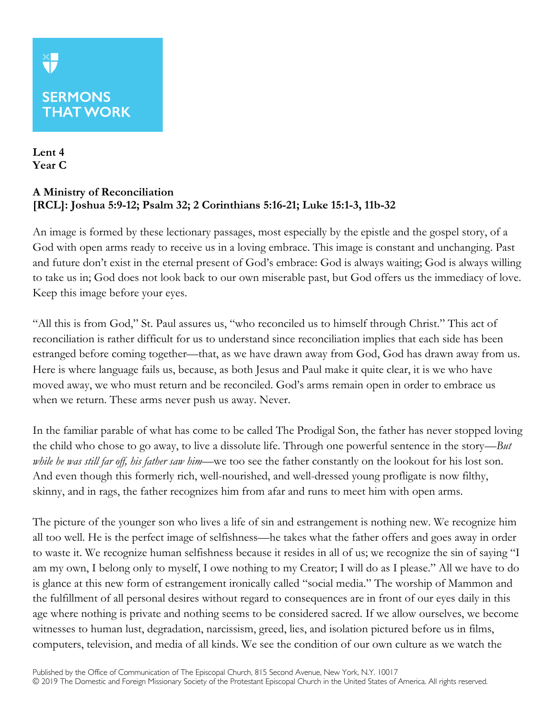## **SERMONS THAT WORK**

**Lent 4 Year C**

## **A Ministry of Reconciliation [RCL]: Joshua 5:9-12; Psalm 32; 2 Corinthians 5:16-21; Luke 15:1-3, 11b-32**

An image is formed by these lectionary passages, most especially by the epistle and the gospel story, of a God with open arms ready to receive us in a loving embrace. This image is constant and unchanging. Past and future don't exist in the eternal present of God's embrace: God is always waiting; God is always willing to take us in; God does not look back to our own miserable past, but God offers us the immediacy of love. Keep this image before your eyes.

"All this is from God," St. Paul assures us, "who reconciled us to himself through Christ." This act of reconciliation is rather difficult for us to understand since reconciliation implies that each side has been estranged before coming together—that, as we have drawn away from God, God has drawn away from us. Here is where language fails us, because, as both Jesus and Paul make it quite clear, it is we who have moved away, we who must return and be reconciled. God's arms remain open in order to embrace us when we return. These arms never push us away. Never.

In the familiar parable of what has come to be called The Prodigal Son, the father has never stopped loving the child who chose to go away, to live a dissolute life. Through one powerful sentence in the story—*But while he was still far off, his father saw him—*we too see the father constantly on the lookout for his lost son. And even though this formerly rich, well-nourished, and well-dressed young profligate is now filthy, skinny, and in rags, the father recognizes him from afar and runs to meet him with open arms.

The picture of the younger son who lives a life of sin and estrangement is nothing new. We recognize him all too well. He is the perfect image of selfishness—he takes what the father offers and goes away in order to waste it. We recognize human selfishness because it resides in all of us; we recognize the sin of saying "I am my own, I belong only to myself, I owe nothing to my Creator; I will do as I please." All we have to do is glance at this new form of estrangement ironically called "social media." The worship of Mammon and the fulfillment of all personal desires without regard to consequences are in front of our eyes daily in this age where nothing is private and nothing seems to be considered sacred. If we allow ourselves, we become witnesses to human lust, degradation, narcissism, greed, lies, and isolation pictured before us in films, computers, television, and media of all kinds. We see the condition of our own culture as we watch the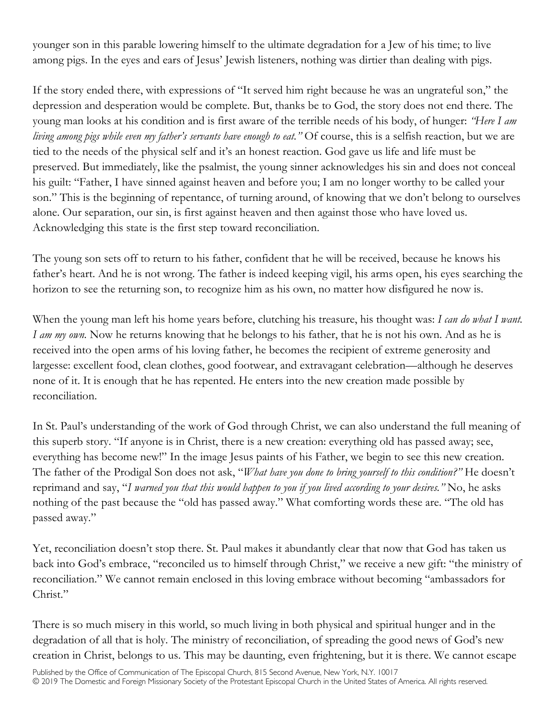younger son in this parable lowering himself to the ultimate degradation for a Jew of his time; to live among pigs. In the eyes and ears of Jesus' Jewish listeners, nothing was dirtier than dealing with pigs.

If the story ended there, with expressions of "It served him right because he was an ungrateful son," the depression and desperation would be complete. But, thanks be to God, the story does not end there. The young man looks at his condition and is first aware of the terrible needs of his body, of hunger: *"Here I am living among pigs while even my father's servants have enough to eat."* Of course, this is a selfish reaction, but we are tied to the needs of the physical self and it's an honest reaction. God gave us life and life must be preserved. But immediately, like the psalmist, the young sinner acknowledges his sin and does not conceal his guilt: "Father, I have sinned against heaven and before you; I am no longer worthy to be called your son." This is the beginning of repentance, of turning around, of knowing that we don't belong to ourselves alone. Our separation, our sin, is first against heaven and then against those who have loved us. Acknowledging this state is the first step toward reconciliation.

The young son sets off to return to his father, confident that he will be received, because he knows his father's heart. And he is not wrong. The father is indeed keeping vigil, his arms open, his eyes searching the horizon to see the returning son, to recognize him as his own, no matter how disfigured he now is.

When the young man left his home years before, clutching his treasure, his thought was: *I can do what I want. I am my own.* Now he returns knowing that he belongs to his father, that he is not his own. And as he is received into the open arms of his loving father, he becomes the recipient of extreme generosity and largesse: excellent food, clean clothes, good footwear, and extravagant celebration—although he deserves none of it. It is enough that he has repented. He enters into the new creation made possible by reconciliation.

In St. Paul's understanding of the work of God through Christ, we can also understand the full meaning of this superb story. "If anyone is in Christ, there is a new creation: everything old has passed away; see, everything has become new!" In the image Jesus paints of his Father, we begin to see this new creation. The father of the Prodigal Son does not ask, "*What have you done to bring yourself to this condition?"* He doesn't reprimand and say, "*I warned you that this would happen to you if you lived according to your desires."* No, he asks nothing of the past because the "old has passed away." What comforting words these are. "The old has passed away."

Yet, reconciliation doesn't stop there. St. Paul makes it abundantly clear that now that God has taken us back into God's embrace, "reconciled us to himself through Christ," we receive a new gift: "the ministry of reconciliation." We cannot remain enclosed in this loving embrace without becoming "ambassadors for Christ."

There is so much misery in this world, so much living in both physical and spiritual hunger and in the degradation of all that is holy. The ministry of reconciliation, of spreading the good news of God's new creation in Christ, belongs to us. This may be daunting, even frightening, but it is there. We cannot escape